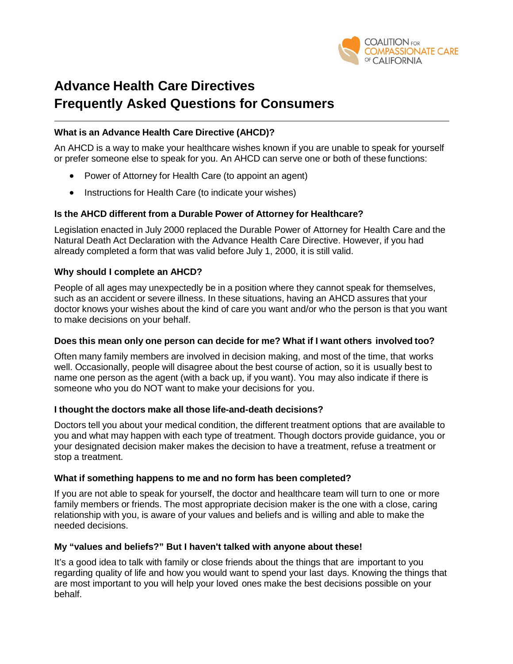

# **Advance Health Care Directives Frequently Asked Questions for Consumers**

#### **What is an Advance Health Care Directive (AHCD)?**

An AHCD is a way to make your healthcare wishes known if you are unable to speak for yourself or prefer someone else to speak for you. An AHCD can serve one or both of these functions:

- Power of Attorney for Health Care (to appoint an agent)
- Instructions for Health Care (to indicate your wishes)

#### **Is the AHCD different from a Durable Power of Attorney for Healthcare?**

Legislation enacted in July 2000 replaced the Durable Power of Attorney for Health Care and the Natural Death Act Declaration with the Advance Health Care Directive. However, if you had already completed a form that was valid before July 1, 2000, it is still valid.

#### **Why should I complete an AHCD?**

People of all ages may unexpectedly be in a position where they cannot speak for themselves, such as an accident or severe illness. In these situations, having an AHCD assures that your doctor knows your wishes about the kind of care you want and/or who the person is that you want to make decisions on your behalf.

#### **Does this mean only one person can decide for me? What if I want others involved too?**

Often many family members are involved in decision making, and most of the time, that works well. Occasionally, people will disagree about the best course of action, so it is usually best to name one person as the agent (with a back up, if you want). You may also indicate if there is someone who you do NOT want to make your decisions for you.

#### **I thought the doctors make all those life-and-death decisions?**

Doctors tell you about your medical condition, the different treatment options that are available to you and what may happen with each type of treatment. Though doctors provide guidance, you or your designated decision maker makes the decision to have a treatment, refuse a treatment or stop a treatment.

#### **What if something happens to me and no form has been completed?**

If you are not able to speak for yourself, the doctor and healthcare team will turn to one or more family members or friends. The most appropriate decision maker is the one with a close, caring relationship with you, is aware of your values and beliefs and is willing and able to make the needed decisions.

#### **My "values and beliefs?" But I haven't talked with anyone about these!**

It's a good idea to talk with family or close friends about the things that are important to you regarding quality of life and how you would want to spend your last days. Knowing the things that are most important to you will help your loved ones make the best decisions possible on your behalf.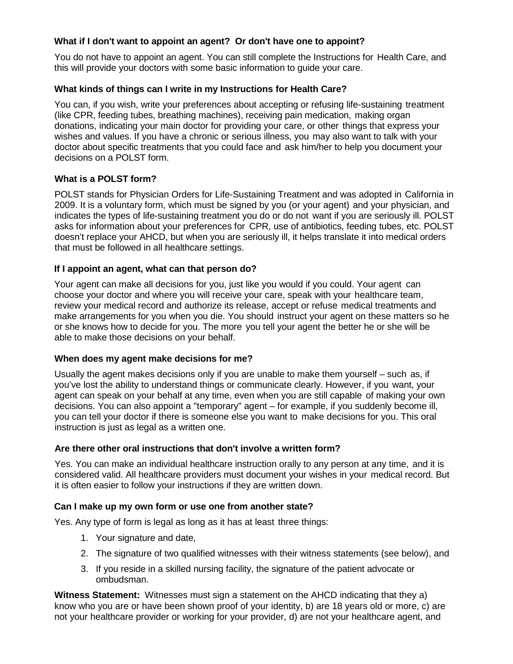# **What if I don't want to appoint an agent? Or don't have one to appoint?**

You do not have to appoint an agent. You can still complete the Instructions for Health Care, and this will provide your doctors with some basic information to guide your care.

# **What kinds of things can I write in my Instructions for Health Care?**

You can, if you wish, write your preferences about accepting or refusing life-sustaining treatment (like CPR, feeding tubes, breathing machines), receiving pain medication, making organ donations, indicating your main doctor for providing your care, or other things that express your wishes and values. If you have a chronic or serious illness, you may also want to talk with your doctor about specific treatments that you could face and ask him/her to help you document your decisions on a POLST form.

# **What is a POLST form?**

POLST stands for Physician Orders for Life-Sustaining Treatment and was adopted in California in 2009. It is a voluntary form, which must be signed by you (or your agent) and your physician, and indicates the types of life-sustaining treatment you do or do not want if you are seriously ill. POLST asks for information about your preferences for CPR, use of antibiotics, feeding tubes, etc. POLST doesn't replace your AHCD, but when you are seriously ill, it helps translate it into medical orders that must be followed in all healthcare settings.

# **If I appoint an agent, what can that person do?**

Your agent can make all decisions for you, just like you would if you could. Your agent can choose your doctor and where you will receive your care, speak with your healthcare team, review your medical record and authorize its release, accept or refuse medical treatments and make arrangements for you when you die. You should instruct your agent on these matters so he or she knows how to decide for you. The more you tell your agent the better he or she will be able to make those decisions on your behalf.

#### **When does my agent make decisions for me?**

Usually the agent makes decisions only if you are unable to make them yourself – such as, if you've lost the ability to understand things or communicate clearly. However, if you want, your agent can speak on your behalf at any time, even when you are still capable of making your own decisions. You can also appoint a "temporary" agent – for example, if you suddenly become ill, you can tell your doctor if there is someone else you want to make decisions for you. This oral instruction is just as legal as a written one.

#### **Are there other oral instructions that don't involve a written form?**

Yes. You can make an individual healthcare instruction orally to any person at any time, and it is considered valid. All healthcare providers must document your wishes in your medical record. But it is often easier to follow your instructions if they are written down.

#### **Can I make up my own form or use one from another state?**

Yes. Any type of form is legal as long as it has at least three things:

- 1. Your signature and date,
- 2. The signature of two qualified witnesses with their witness statements (see below), and
- 3. If you reside in a skilled nursing facility, the signature of the patient advocate or ombudsman.

**Witness Statement:** Witnesses must sign a statement on the AHCD indicating that they a) know who you are or have been shown proof of your identity, b) are 18 years old or more, c) are not your healthcare provider or working for your provider, d) are not your healthcare agent, and